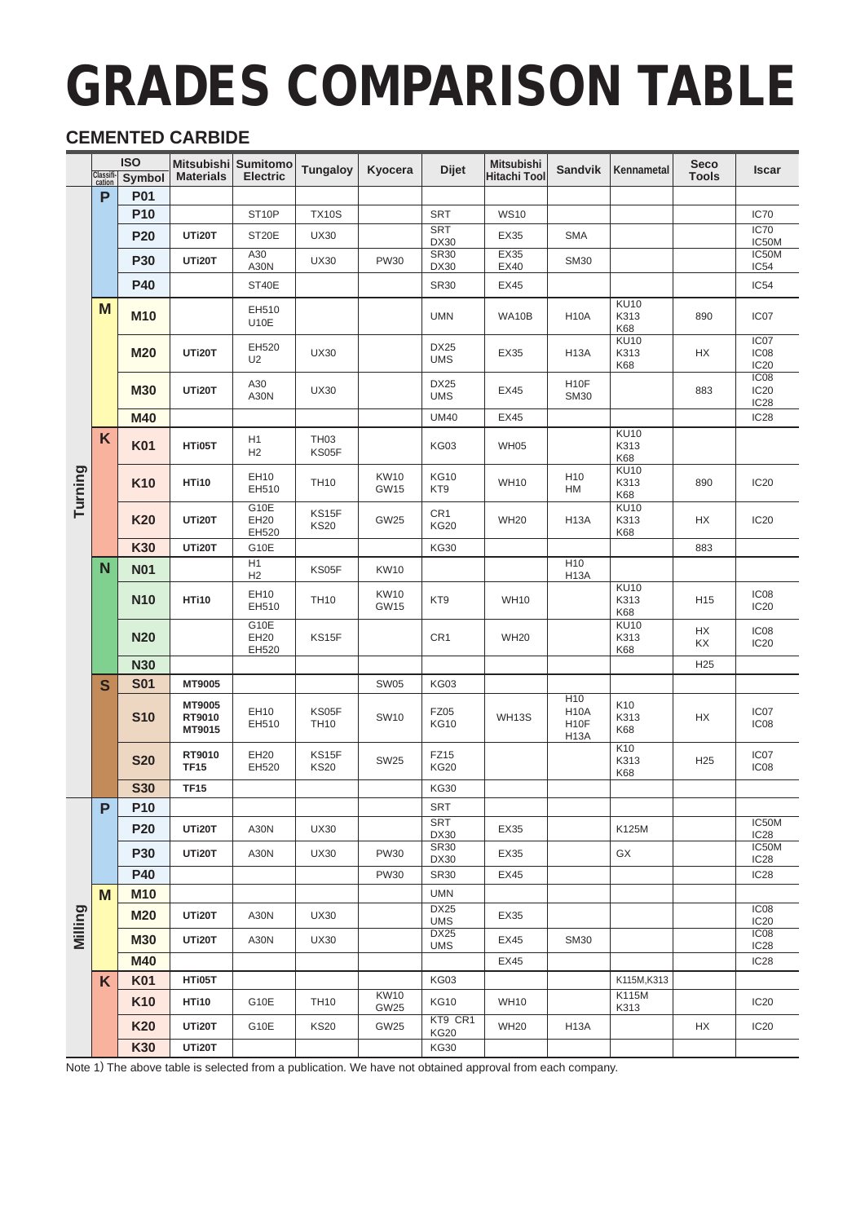# GRADES COMPARISON TABLE

# **CEMENTED CARBIDE**

|         |                     | <b>ISO</b>      |                            | Mitsubishi Sumitomo     | <b>Tungaloy</b>           | Kyocera                    | <b>Dijet</b>                   | <b>Mitsubishi</b>   | <b>Sandvik</b>                                                     | Kennametal                      | <b>Seco</b>     | Iscar                                                    |
|---------|---------------------|-----------------|----------------------------|-------------------------|---------------------------|----------------------------|--------------------------------|---------------------|--------------------------------------------------------------------|---------------------------------|-----------------|----------------------------------------------------------|
|         | Classifi-<br>cation | Symbol          | <b>Materials</b>           | <b>Electric</b>         |                           |                            |                                | <b>Hitachi Tool</b> |                                                                    |                                 | <b>Tools</b>    |                                                          |
|         | P                   | <b>P01</b>      |                            |                         |                           |                            |                                |                     |                                                                    |                                 |                 |                                                          |
|         |                     | P <sub>10</sub> |                            | ST <sub>10P</sub>       | <b>TX10S</b>              |                            | <b>SRT</b><br><b>SRT</b>       | <b>WS10</b>         |                                                                    |                                 |                 | <b>IC70</b><br>IC70                                      |
|         |                     | <b>P20</b>      | UTi20T                     | ST <sub>20</sub> E      | <b>UX30</b>               |                            | <b>DX30</b>                    | EX35                | <b>SMA</b>                                                         |                                 |                 | IC50M                                                    |
|         |                     | <b>P30</b>      | UTi20T                     | A30<br>A30N             | <b>UX30</b>               | <b>PW30</b>                | <b>SR30</b><br><b>DX30</b>     | EX35<br>EX40        | <b>SM30</b>                                                        |                                 |                 | IC50M<br>IC54                                            |
|         |                     | <b>P40</b>      |                            | ST40E                   |                           |                            | <b>SR30</b>                    | EX45                |                                                                    |                                 |                 | IC54                                                     |
|         | M                   | <b>M10</b>      |                            | EH510<br><b>U10E</b>    |                           |                            | <b>UMN</b>                     | WA10B               | H <sub>10</sub> A                                                  | <b>KU10</b><br>K313<br>K68      | 890             | IC <sub>07</sub>                                         |
|         |                     | <b>M20</b>      | UTi20T                     | EH520<br>U <sub>2</sub> | <b>UX30</b>               |                            | <b>DX25</b><br><b>UMS</b>      | EX35                | <b>H13A</b>                                                        | <b>KU10</b><br>K313<br>K68      | НX              | IC07<br>IC08<br>IC <sub>20</sub>                         |
|         |                     | <b>M30</b>      | UTi20T                     | A30<br>A30N             | <b>UX30</b>               |                            | <b>DX25</b><br><b>UMS</b>      | EX45                | H <sub>10</sub> F<br><b>SM30</b>                                   |                                 | 883             | IC <sub>08</sub><br>IC <sub>20</sub><br>IC <sub>28</sub> |
|         |                     | M40             |                            |                         |                           |                            | <b>UM40</b>                    | EX45                |                                                                    |                                 |                 | IC <sub>28</sub>                                         |
|         | K                   | <b>K01</b>      | HTi05T                     | H1<br>H2                | TH <sub>03</sub><br>KS05F |                            | <b>KG03</b>                    | <b>WH05</b>         |                                                                    | <b>KU10</b><br>K313<br>K68      |                 |                                                          |
| Turning |                     | <b>K10</b>      | HTi10                      | EH10<br>EH510           | <b>TH10</b>               | <b>KW10</b><br><b>GW15</b> | <b>KG10</b><br>KT9             | <b>WH10</b>         | H <sub>10</sub><br>HM                                              | <b>KU10</b><br>K313<br>K68      | 890             | <b>IC20</b>                                              |
|         |                     | <b>K20</b>      | UTi20T                     | G10E<br>EH20<br>EH520   | KS15F<br><b>KS20</b>      | GW25                       | CR <sub>1</sub><br><b>KG20</b> | <b>WH20</b>         | <b>H13A</b>                                                        | <b>KU10</b><br>K313<br>K68      | НX              | <b>IC20</b>                                              |
|         |                     | K30             | UTi20T                     | G10E                    |                           |                            | <b>KG30</b>                    |                     |                                                                    |                                 | 883             |                                                          |
|         | N                   | <b>N01</b>      |                            | H1<br>H2                | KS05F                     | <b>KW10</b>                |                                |                     | H <sub>10</sub><br>H <sub>13</sub> A                               |                                 |                 |                                                          |
|         |                     | <b>N10</b>      | HTi10                      | EH10<br>EH510           | <b>TH10</b>               | <b>KW10</b><br>GW15        | KT9                            | <b>WH10</b>         |                                                                    | <b>KU10</b><br>K313<br>K68      | H <sub>15</sub> | IC <sub>08</sub><br><b>IC20</b>                          |
|         |                     | <b>N20</b>      |                            | G10E<br>EH20<br>EH520   | KS15F                     |                            | CR <sub>1</sub>                | <b>WH20</b>         |                                                                    | KU <sub>10</sub><br>K313<br>K68 | HX<br>KX        | IC08<br>IC <sub>20</sub>                                 |
|         |                     | <b>N30</b>      |                            |                         |                           |                            |                                |                     |                                                                    |                                 | H <sub>25</sub> |                                                          |
|         | S                   | <b>S01</b>      | MT9005                     |                         |                           | <b>SW05</b>                | <b>KG03</b>                    |                     |                                                                    |                                 |                 |                                                          |
|         |                     | <b>S10</b>      | MT9005<br>RT9010<br>MT9015 | EH10<br>EH510           | KS05F<br><b>TH10</b>      | <b>SW10</b>                | <b>FZ05</b><br><b>KG10</b>     | <b>WH13S</b>        | H10<br>H <sub>10</sub> A<br>H <sub>10</sub> F<br>H <sub>13</sub> A | K10<br>K313<br>K68              | HX              | IC07<br>IC08                                             |
|         |                     | <b>S20</b>      | RT9010<br><b>TF15</b>      | EH20<br>EH520           | KS15F<br><b>KS20</b>      | <b>SW25</b>                | FZ15<br><b>KG20</b>            |                     |                                                                    | K <sub>10</sub><br>K313<br>K68  | H <sub>25</sub> | IC <sub>07</sub><br>IC08                                 |
|         |                     | <b>S30</b>      | <b>TF15</b>                |                         |                           |                            | <b>KG30</b>                    |                     |                                                                    |                                 |                 |                                                          |
|         | P                   | P <sub>10</sub> |                            |                         |                           |                            | <b>SRT</b>                     |                     |                                                                    |                                 |                 |                                                          |
|         |                     | <b>P20</b>      | UTi20T                     | A30N                    | <b>UX30</b>               |                            | <b>SRT</b><br><b>DX30</b>      | EX35                |                                                                    | K125M                           |                 | IC50M<br>IC <sub>28</sub>                                |
|         |                     | <b>P30</b>      | UTi20T                     | A30N                    | <b>UX30</b>               | <b>PW30</b>                | <b>SR30</b><br><b>DX30</b>     | EX35                |                                                                    | GX                              |                 | IC50M<br>IC <sub>28</sub>                                |
|         |                     | <b>P40</b>      |                            |                         |                           | <b>PW30</b>                | <b>SR30</b>                    | EX45                |                                                                    |                                 |                 | <b>IC28</b>                                              |
|         | M                   | <b>M10</b>      |                            |                         |                           |                            | <b>UMN</b>                     |                     |                                                                    |                                 |                 |                                                          |
| Milling |                     | <b>M20</b>      | UTi20T                     | A30N                    | <b>UX30</b>               |                            | DX25<br><b>UMS</b>             | EX35                |                                                                    |                                 |                 | IC <sub>08</sub><br><b>IC20</b>                          |
|         |                     | <b>M30</b>      | UTi20T                     | A30N                    | <b>UX30</b>               |                            | <b>DX25</b><br><b>UMS</b>      | EX45                | <b>SM30</b>                                                        |                                 |                 | IC <sub>08</sub><br>IC <sub>28</sub>                     |
|         |                     | <b>M40</b>      |                            |                         |                           |                            |                                | EX45                |                                                                    |                                 |                 | IC <sub>28</sub>                                         |
|         | K                   | <b>K01</b>      | HTi05T                     |                         |                           |                            | <b>KG03</b>                    |                     |                                                                    | K115M, K313                     |                 |                                                          |
|         |                     | K <sub>10</sub> | HTi10                      | G10E                    | <b>TH10</b>               | <b>KW10</b><br>GW25        | <b>KG10</b>                    | <b>WH10</b>         |                                                                    | K115M<br>K313                   |                 | <b>IC20</b>                                              |
|         |                     | <b>K20</b>      | UTi20T                     | G10E                    | <b>KS20</b>               | GW25                       | KT9 CR1<br><b>KG20</b>         | <b>WH20</b>         | <b>H13A</b>                                                        |                                 | НX              | <b>IC20</b>                                              |
|         |                     | K30             | UTi20T                     |                         |                           |                            | <b>KG30</b>                    |                     |                                                                    |                                 |                 |                                                          |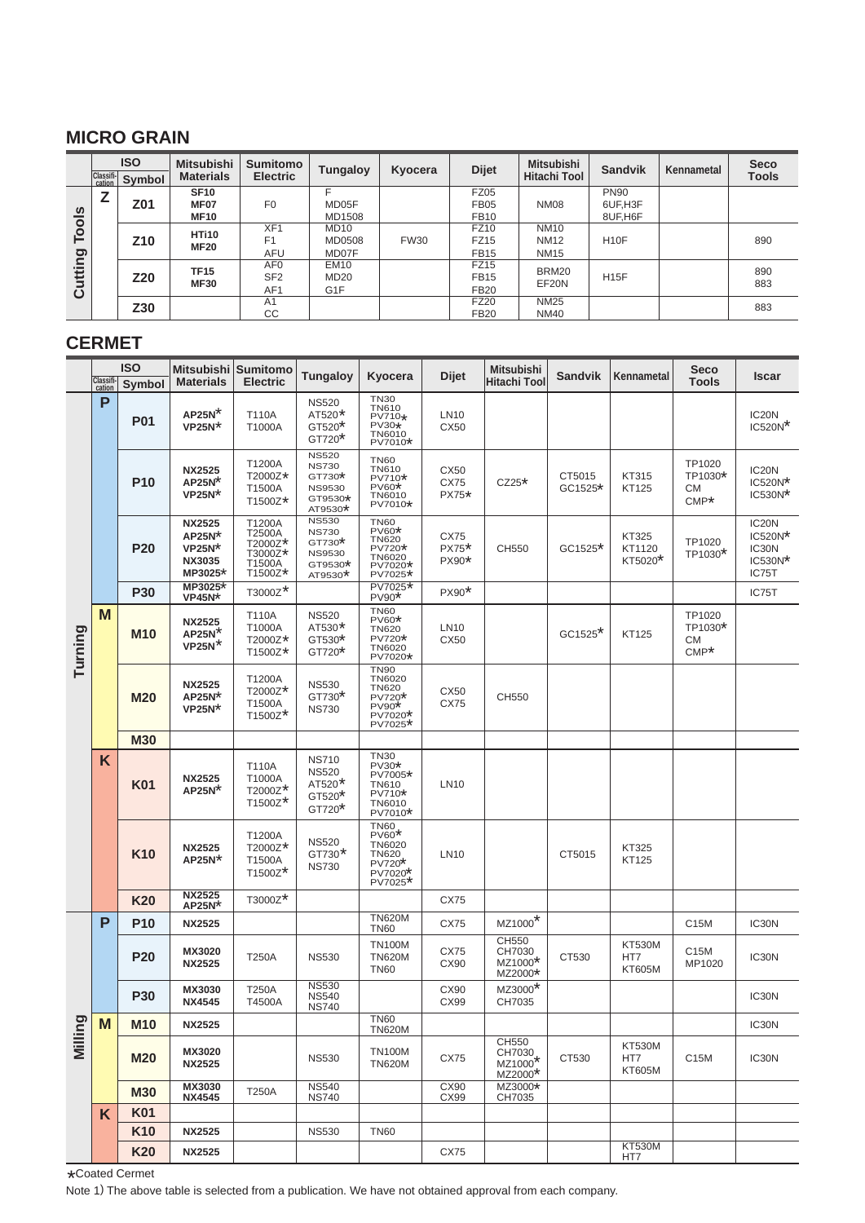#### **MICRO GRAIN**

|                     |        | <b>ISO</b><br>Classifi- Symbol | <b>Mitsubishi</b><br><b>Materials</b> | <b>Sumitomo</b><br><b>Electric</b> | <b>Tungaloy</b>  | Kyocera     | <b>Dijet</b> | Mitsubishi<br><b>Hitachi Tool</b> | <b>Sandvik</b>    | Kennametal | <b>Seco</b><br><b>Tools</b> |
|---------------------|--------|--------------------------------|---------------------------------------|------------------------------------|------------------|-------------|--------------|-----------------------------------|-------------------|------------|-----------------------------|
|                     | 7<br>c |                                | <b>SF10</b>                           |                                    |                  |             | <b>FZ05</b>  |                                   | <b>PN90</b>       |            |                             |
| $\overline{\omega}$ | Z01    | <b>MF07</b>                    | F <sub>0</sub>                        | MD05F                              |                  | <b>FB05</b> | <b>NM08</b>  | 6UF,H3F                           |                   |            |                             |
| $\circ$             |        |                                | <b>MF10</b>                           |                                    | MD1508           |             | <b>FB10</b>  |                                   | 8UF, H6F          |            |                             |
|                     |        |                                | <b>HTi10</b>                          | XF <sub>1</sub>                    | <b>MD10</b>      |             | <b>FZ10</b>  | <b>NM10</b>                       |                   |            |                             |
| ě                   |        | Z10                            | <b>MF20</b>                           | F <sub>1</sub>                     | MD0508           | <b>FW30</b> | <b>FZ15</b>  | <b>NM12</b>                       | H <sub>10</sub> F |            | 890                         |
| ρū                  |        |                                |                                       | <b>AFU</b>                         | MD07F            |             | <b>FB15</b>  | <b>NM15</b>                       |                   |            |                             |
|                     |        |                                | <b>TF15</b>                           | AF <sub>0</sub>                    | <b>EM10</b>      |             | FZ15         | BRM20                             |                   |            | 890                         |
| Ë                   |        | Z20                            |                                       | SF <sub>2</sub>                    | <b>MD20</b>      |             | <b>FB15</b>  |                                   | <b>H15F</b>       |            |                             |
| යි                  |        |                                | <b>MF30</b>                           | AF <sub>1</sub>                    | G <sub>1</sub> F |             | <b>FB20</b>  | EF20N                             |                   |            | 883                         |
|                     |        | Z30                            |                                       | A <sub>1</sub>                     |                  |             | <b>FZ20</b>  | <b>NM25</b>                       |                   |            | 883                         |
|                     |        |                                |                                       | CC                                 |                  |             | <b>FB20</b>  | <b>NM40</b>                       |                   |            |                             |

#### **CERMET**

|         |                     | <b>ISO</b>      |                                                                   | Mitsubishi Sumitomo                                         | Tungaloy                                                                        | Kyocera                                                                                      | <b>Dijet</b>             | <b>Mitsubishi</b>                                             | <b>Sandvik</b>      | Kennametal                            | <b>Seco</b>                        | <b>Iscar</b>                                                 |
|---------|---------------------|-----------------|-------------------------------------------------------------------|-------------------------------------------------------------|---------------------------------------------------------------------------------|----------------------------------------------------------------------------------------------|--------------------------|---------------------------------------------------------------|---------------------|---------------------------------------|------------------------------------|--------------------------------------------------------------|
|         | Classifi-<br>cation | Symbol          | <b>Materials</b>                                                  | <b>Electric</b>                                             |                                                                                 |                                                                                              |                          | Hitachi Tool                                                  |                     |                                       | <b>Tools</b>                       |                                                              |
|         | P                   | <b>P01</b>      | $AP25N^*$<br>$VP25N*$                                             | T110A<br>T1000A                                             | <b>NS520</b><br>$AT520*$<br>$GT520*$<br>$GT720*$                                | <b>TN30</b><br><b>TN610</b><br>PV710*<br>PV30*<br><b>TN6010</b><br>PV7010*                   | LN10<br>CX50             |                                                               |                     |                                       |                                    | IC <sub>20</sub> N<br>$\text{IC520N}^\star$                  |
|         |                     | <b>P10</b>      | <b>NX2525</b><br>$AP25N^*$<br>$VP25N^*$                           | T1200A<br>T2000Z*<br>T1500A<br>T1500Z*                      | <b>NS520</b><br><b>NS730</b><br>$GT730*$<br><b>NS9530</b><br>GT9530*<br>AT9530* | <b>TN60</b><br><b>TN610</b><br>PV710*<br>PV60*<br><b>TN6010</b><br>PV7010*                   | CX50<br>CX75<br>PX75*    | $CZ25*$                                                       | CT5015<br>$GC1525*$ | KT315<br><b>KT125</b>                 | TP1020<br>TP1030*<br>СM<br>$CMP*$  | IC <sub>20</sub> N<br>$IC520N*$<br>IC530N*                   |
|         |                     | <b>P20</b>      | <b>NX2525</b><br>$AP25N*$<br>$VP25N*$<br><b>NX3035</b><br>MP3025* | T1200A<br>T2500A<br>T2000Z*<br>T3000Z*<br>T1500A<br>T1500Z* | <b>NS530</b><br><b>NS730</b><br>$GT730*$<br><b>NS9530</b><br>GT9530*<br>AT9530* | <b>TN60</b><br><b>PV60*</b><br><b>TN620</b><br>PV720*<br><b>TN6020</b><br>PV7020*<br>PV7025* | CX75<br>$PX75*$<br>PX90* | CH550                                                         | $GC1525*$           | <b>KT325</b><br>KT1120<br>KT5020*     | TP1020<br>TP1030*                  | IC <sub>20</sub> N<br>IC520N*<br>IC30N<br>$IC530N*$<br>IC75T |
|         |                     | <b>P30</b>      | MP3025*<br><b>VP45N*</b>                                          | T3000Z*                                                     |                                                                                 | PV7025*<br>$PV90*$                                                                           | PX90*                    |                                                               |                     |                                       |                                    | IC75T                                                        |
| Turning | M                   | M10             | <b>NX2525</b><br>$AP25N^*$<br>$VP25N^*$                           | T110A<br>T1000A<br>T2000Z*<br>T1500Z*                       | <b>NS520</b><br>AT530*<br>$GT530*$<br>$GT720*$                                  | <b>TN60</b><br>PV60*<br><b>TN620</b><br>PV720*<br><b>TN6020</b><br>PV7020*                   | LN10<br>CX50             |                                                               | GC1525*             | <b>KT125</b>                          | TP1020<br>TP1030*<br>CМ<br>$CMP^*$ |                                                              |
|         |                     | <b>M20</b>      | <b>NX2525</b><br>$AP25N*$<br>$VP25N^*$                            | T1200A<br>T2000Z*<br>T1500A<br>$T1500Z*$                    | <b>NS530</b><br>$GT730*$<br><b>NS730</b>                                        | <b>TN90</b><br><b>TN6020</b><br>TN620<br>PV720*<br>PV90*<br>PV7020*<br>PV7025*               | CX50<br>CX75             | CH550                                                         |                     |                                       |                                    |                                                              |
|         |                     | <b>M30</b>      |                                                                   |                                                             |                                                                                 |                                                                                              |                          |                                                               |                     |                                       |                                    |                                                              |
|         | K                   | K01             | <b>NX2525</b><br>$AP25N^*$                                        | T110A<br>T1000A<br>T2000Z*<br>$T1500Z^*$                    | <b>NS710</b><br><b>NS520</b><br>AT520*<br>$GT520*$<br>$GT720*$                  | <b>TN30</b><br>$PV30*$<br>PV7005*<br><b>TN610</b><br>PV710*<br><b>TN6010</b><br>PV7010*      | LN10                     |                                                               |                     |                                       |                                    |                                                              |
|         |                     | K <sub>10</sub> | <b>NX2525</b><br>$AP25N^*$                                        | T1200A<br>T2000Z*<br>T1500A<br>$T1500Z^*$                   | <b>NS520</b><br>$GT730*$<br><b>NS730</b>                                        | <b>TN60</b><br>$PV60*$<br><b>TN6020</b><br>TN620.<br>$PV720*$<br>PV7020*<br>$PV7025*$        | LN10                     |                                                               | CT5015              | <b>KT325</b><br><b>KT125</b>          |                                    |                                                              |
|         |                     | K20             | <b>NX2525</b><br>$AP25N*$                                         | T3000Z*                                                     |                                                                                 |                                                                                              | <b>CX75</b>              |                                                               |                     |                                       |                                    |                                                              |
|         | P                   | <b>P10</b>      | <b>NX2525</b>                                                     |                                                             |                                                                                 | <b>TN620M</b><br><b>TN60</b>                                                                 | CX75                     | $MZ1000*$                                                     |                     |                                       | C15M                               | IC30N                                                        |
|         |                     | <b>P20</b>      | MX3020<br><b>NX2525</b>                                           | <b>T250A</b>                                                | <b>NS530</b>                                                                    | <b>TN100M</b><br><b>TN620M</b><br><b>TN60</b>                                                | CX75<br>CX90             | CH550<br>CH7030<br>$MZ1000*$<br>MZ2000*                       | CT530               | <b>KT530M</b><br>HT7<br><b>KT605M</b> | C <sub>15</sub> M<br>MP1020        | IC30N                                                        |
|         |                     | <b>P30</b>      | MX3030<br><b>NX4545</b>                                           | T250A<br>T4500A                                             | <b>NS530</b><br><b>NS540</b><br><b>NS740</b>                                    |                                                                                              | CX90<br>CX99             | MZ3000*<br>CH7035                                             |                     |                                       |                                    | IC30N                                                        |
|         | M                   | <b>M10</b>      | <b>NX2525</b>                                                     |                                                             |                                                                                 | <b>TN60</b><br><b>TN620M</b>                                                                 |                          |                                                               |                     |                                       |                                    | IC30N                                                        |
| Milling |                     | <b>M20</b>      | MX3020<br><b>NX2525</b>                                           |                                                             | <b>NS530</b>                                                                    | <b>TN100M</b><br><b>TN620M</b>                                                               | <b>CX75</b>              | CH550<br>CH7030<br>MZ1000 <sup>*</sup><br>MZ2000 <sup>*</sup> | CT530               | <b>KT530M</b><br>HT7<br><b>KT605M</b> | C15M                               | IC30N                                                        |
|         |                     | <b>M30</b>      | MX3030<br><b>NX4545</b>                                           | <b>T250A</b>                                                | <b>NS540</b><br><b>NS740</b>                                                    |                                                                                              | CX90<br>CX99             | MZ3000*<br>CH7035                                             |                     |                                       |                                    |                                                              |
|         | K                   | <b>K01</b>      |                                                                   |                                                             |                                                                                 |                                                                                              |                          |                                                               |                     |                                       |                                    |                                                              |
|         |                     | <b>K10</b>      | <b>NX2525</b>                                                     |                                                             | <b>NS530</b>                                                                    | <b>TN60</b>                                                                                  |                          |                                                               |                     |                                       |                                    |                                                              |
|         |                     | <b>K20</b>      | <b>NX2525</b>                                                     |                                                             |                                                                                 |                                                                                              | CX75                     |                                                               |                     | <b>KT530M</b><br>HT7                  |                                    |                                                              |

\*Coated Cermet<br>Note 1) The about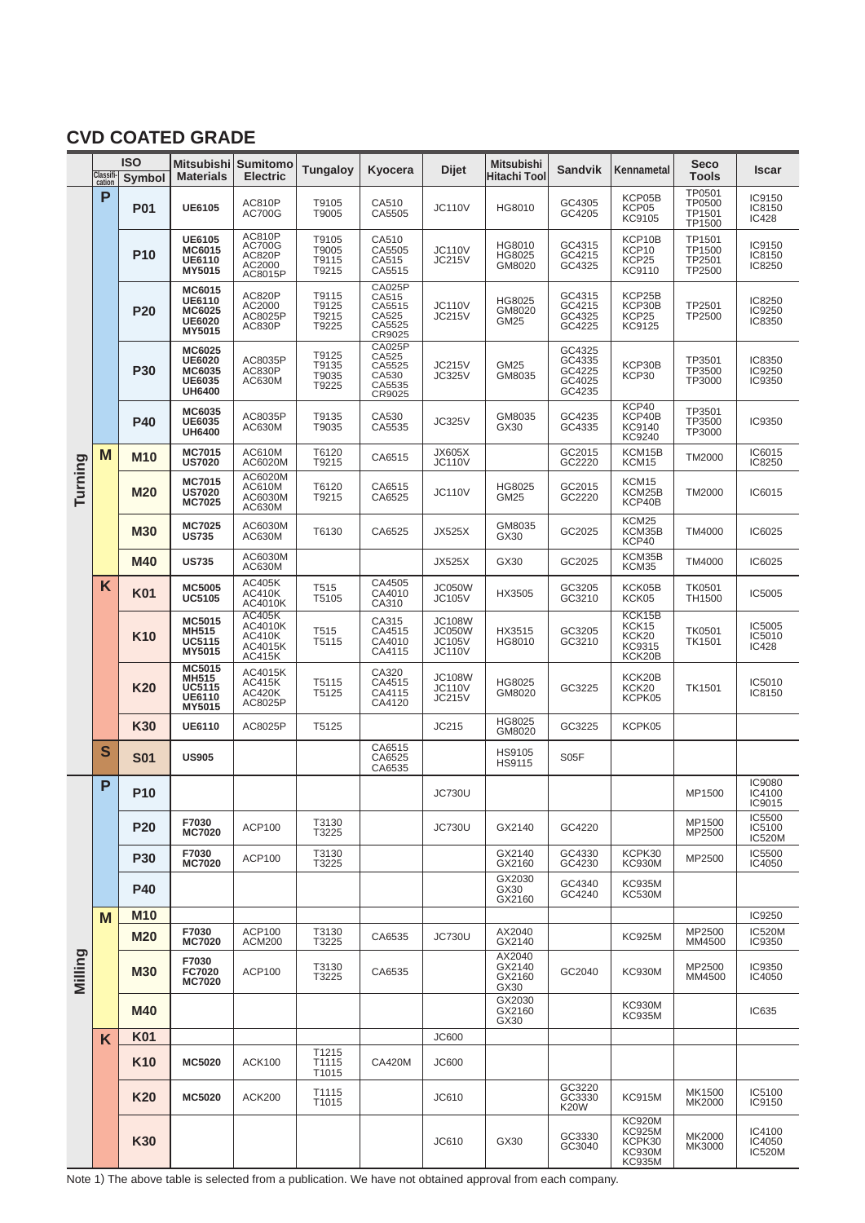# **CVD COATED GRADE**

|         | Classifi- | <b>ISO</b>      |                                                                     | Mitsubishi   Sumitomo                                          | <b>Tungaloy</b>                  | Kyocera                                                       | Dijet                                                            | <b>Mitsubishi</b>                  | <b>Sandvik</b>                                 | Kennametal                                                          | <b>Seco</b>                          | <b>Iscar</b>                      |
|---------|-----------|-----------------|---------------------------------------------------------------------|----------------------------------------------------------------|----------------------------------|---------------------------------------------------------------|------------------------------------------------------------------|------------------------------------|------------------------------------------------|---------------------------------------------------------------------|--------------------------------------|-----------------------------------|
|         | cation    | Symbol          | <b>Materials</b>                                                    | <b>Electric</b>                                                |                                  |                                                               |                                                                  | <b>Hitachi Tool</b>                |                                                |                                                                     | <b>Tools</b>                         |                                   |
|         | P         | <b>P01</b>      | <b>UE6105</b>                                                       | <b>AC810P</b><br><b>AC700G</b>                                 | T9105<br>T9005                   | CA510<br>CA5505                                               | <b>JC110V</b>                                                    | HG8010                             | GC4305<br>GC4205                               | KCP05B<br>KCP05<br>KC9105                                           | TP0501<br>TP0500<br>TP1501<br>TP1500 | IC9150<br>IC8150<br>IC428         |
|         |           | <b>P10</b>      | <b>UE6105</b><br><b>MC6015</b><br><b>UE6110</b><br>MY5015           | <b>AC810P</b><br><b>AC700G</b><br>AC820P<br>AC2000<br>AC8015P  | T9105<br>T9005<br>T9115<br>T9215 | CA510<br>CA5505<br>CA515<br>CA5515                            | <b>JC110V</b><br><b>JC215V</b>                                   | HG8010<br>HG8025<br>GM8020         | GC4315<br>GC4215<br>GC4325                     | KCP10B<br>KCP10<br>KCP25<br>KC9110                                  | TP1501<br>TP1500<br>TP2501<br>TP2500 | IC9150<br>IC8150<br>IC8250        |
|         |           | <b>P20</b>      | MC6015<br><b>UE6110</b><br>MC6025<br><b>UE6020</b><br>MY5015        | AC820P<br>AC2000<br>AC8025P<br><b>AC830P</b>                   | T9115<br>T9125<br>T9215<br>T9225 | <b>CA025P</b><br>CA515<br>CA5515<br>CA525<br>CA5525<br>CR9025 | <b>JC110V</b><br><b>JC215V</b>                                   | HG8025<br>GM8020<br><b>GM25</b>    | GC4315<br>GC4215<br>GC4325<br>GC4225           | KCP25B<br>KCP30B<br>KCP25<br>KC9125                                 | TP2501<br>TP2500                     | IC8250<br>IC9250<br>IC8350        |
|         |           | <b>P30</b>      | MC6025<br><b>UE6020</b><br>MC6035<br><b>UE6035</b><br><b>UH6400</b> | AC8035P<br><b>AC830P</b><br>AC630M                             | T9125<br>T9135<br>T9035<br>T9225 | <b>CA025P</b><br>CA525<br>CA5525<br>CA530<br>CA5535<br>CR9025 | <b>JC215V</b><br><b>JC325V</b>                                   | GM25<br>GM8035                     | GC4325<br>GC4335<br>GC4225<br>GC4025<br>GC4235 | KCP30B<br>KCP30                                                     | TP3501<br>TP3500<br>TP3000           | IC8350<br>IC9250<br>IC9350        |
|         |           | <b>P40</b>      | MC6035<br>UE6035<br><b>UH6400</b>                                   | AC8035P<br>AC630M                                              | T9135<br>T9035                   | CA530<br>CA5535                                               | <b>JC325V</b>                                                    | GM8035<br>GX30                     | GC4235<br>GC4335                               | KCP40<br>KCP40B<br>KC9140<br>KC9240                                 | TP3501<br>TP3500<br>TP3000           | IC9350                            |
|         | M         | M10             | <b>MC7015</b><br><b>US7020</b>                                      | AC610M<br>AC6020M                                              | T6120<br>T9215                   | CA6515                                                        | <b>JX605X</b><br><b>JC110V</b>                                   |                                    | GC2015<br>GC2220                               | KCM15B<br>KCM15                                                     | <b>TM2000</b>                        | IC6015<br>IC8250                  |
| Turning |           | <b>M20</b>      | <b>MC7015</b><br><b>US7020</b><br><b>MC7025</b>                     | AC6020M<br>AC610M<br>AC6030M<br>AC630M                         | T6120<br>T9215                   | CA6515<br>CA6525                                              | <b>JC110V</b>                                                    | HG8025<br>GM25                     | GC2015<br>GC2220                               | KCM15<br>KCM25B<br>KCP40B                                           | <b>TM2000</b>                        | IC6015                            |
|         |           | <b>M30</b>      | <b>MC7025</b><br><b>US735</b>                                       | AC6030M<br>AC630M                                              | T6130                            | CA6525                                                        | <b>JX525X</b>                                                    | GM8035<br>GX30                     | GC2025                                         | KCM25<br>KCM35B<br>KCP40                                            | <b>TM4000</b>                        | IC6025                            |
|         |           | <b>M40</b>      | <b>US735</b>                                                        | AC6030M<br>AC630M                                              |                                  |                                                               | <b>JX525X</b>                                                    | GX30                               | GC2025                                         | KCM35B<br>KCM35                                                     | <b>TM4000</b>                        | IC6025                            |
|         | K         | <b>K01</b>      | <b>MC5005</b><br><b>UC5105</b>                                      | AC405K<br><b>AC410K</b><br>AC4010K                             | T515<br>T5105                    | CA4505<br>CA4010<br>CA310                                     | JC050W<br><b>JC105V</b>                                          | HX3505                             | GC3205<br>GC3210                               | KCK05B<br>KCK05                                                     | <b>TK0501</b><br>TH1500              | IC5005                            |
|         |           | K <sub>10</sub> | MC5015<br><b>MH515</b><br><b>UC5115</b><br>MY5015                   | <b>AC405K</b><br>AC4010K<br><b>AC410K</b><br>AC4015K<br>AC415K | T515<br>T5115                    | CA315<br>CA4515<br>CA4010<br>CA4115                           | <b>JC108W</b><br><b>JC050W</b><br><b>JC105V</b><br><b>JC110V</b> | HX3515<br>HG8010                   | GC3205<br>GC3210                               | KCK15B<br>KCK15<br>KCK20<br>KC9315<br>KCK20B                        | <b>TK0501</b><br>TK1501              | IC5005<br>IC5010<br>IC428         |
|         |           | K <sub>20</sub> | MC5015<br>MH515<br><b>UC5115</b><br><b>UE6110</b><br>MY5015         | AC4015K<br><b>AC415K</b><br><b>AC420K</b><br>AC8025P           | T5115<br>T5125                   | CA320<br>CA4515<br>CA4115<br>CA4120                           | <b>JC108W</b><br><b>JC110V</b><br><b>JC215V</b>                  | HG8025<br>GM8020                   | GC3225                                         | KCK20B<br>KCK20<br>KCPK05                                           | <b>TK1501</b>                        | IC5010<br>IC8150                  |
|         |           | <b>K30</b>      | <b>UE6110</b>                                                       | AC8025P                                                        | T5125                            |                                                               | JC215                                                            | HG8025<br>GM8020                   | GC3225                                         | KCPK05                                                              |                                      |                                   |
|         | S         | <b>S01</b>      | <b>US905</b>                                                        |                                                                |                                  | CA6515<br>CA6525<br>CA6535                                    |                                                                  | HS9105<br>HS9115                   | S05F                                           |                                                                     |                                      |                                   |
|         | P         | P <sub>10</sub> |                                                                     |                                                                |                                  |                                                               | <b>JC730U</b>                                                    |                                    |                                                |                                                                     | MP1500                               | IC9080<br>IC4100<br>IC9015        |
|         |           | <b>P20</b>      | F7030<br><b>MC7020</b>                                              | <b>ACP100</b>                                                  | T3130<br>T3225                   |                                                               | <b>JC730U</b>                                                    | GX2140                             | GC4220                                         |                                                                     | MP1500<br>MP2500                     | IC5500<br>IC5100<br><b>IC520M</b> |
|         |           | <b>P30</b>      | F7030<br><b>MC7020</b>                                              | ACP100                                                         | T3130<br>T3225                   |                                                               |                                                                  | GX2140<br>GX2160                   | GC4330<br>GC4230                               | KCPK30<br><b>KC930M</b>                                             | MP2500                               | IC5500<br>IC4050                  |
|         |           | <b>P40</b>      |                                                                     |                                                                |                                  |                                                               |                                                                  | GX2030<br>GX30<br>GX2160           | GC4340<br>GC4240                               | KC935M<br><b>KC530M</b>                                             |                                      |                                   |
|         | М         | <b>M10</b>      |                                                                     |                                                                |                                  |                                                               |                                                                  |                                    |                                                |                                                                     |                                      | IC9250                            |
|         |           | <b>M20</b>      | F7030<br><b>MC7020</b>                                              | <b>ACP100</b><br><b>ACM200</b>                                 | T3130<br>T3225                   | CA6535                                                        | <b>JC730U</b>                                                    | AX2040<br>GX2140                   |                                                | <b>KC925M</b>                                                       | MP2500<br>MM4500                     | <b>IC520M</b><br>IC9350           |
| Milling |           | <b>M30</b>      | F7030<br><b>FC7020</b><br><b>MC7020</b>                             | ACP100                                                         | T3130<br>T3225                   | CA6535                                                        |                                                                  | AX2040<br>GX2140<br>GX2160<br>GX30 | GC2040                                         | KC930M                                                              | MP2500<br>MM4500                     | IC9350<br>IC4050                  |
|         |           | <b>M40</b>      |                                                                     |                                                                |                                  |                                                               |                                                                  | GX2030<br>GX2160<br>GX30           |                                                | <b>KC930M</b><br><b>KC935M</b>                                      |                                      | IC635                             |
|         | K         | <b>K01</b>      |                                                                     |                                                                |                                  |                                                               | <b>JC600</b>                                                     |                                    |                                                |                                                                     |                                      |                                   |
|         |           | K <sub>10</sub> | <b>MC5020</b>                                                       | <b>ACK100</b>                                                  | T1215<br>T1115<br>T1015          | <b>CA420M</b>                                                 | <b>JC600</b>                                                     |                                    |                                                |                                                                     |                                      |                                   |
|         |           | K <sub>20</sub> | <b>MC5020</b>                                                       | <b>ACK200</b>                                                  | T1115<br>T1015                   |                                                               | JC610                                                            |                                    | GC3220<br>GC3330<br><b>K20W</b>                | <b>KC915M</b>                                                       | MK1500<br>MK2000                     | IC5100<br>IC9150                  |
|         |           | <b>K30</b>      |                                                                     |                                                                |                                  |                                                               | JC610                                                            | GX30                               | GC3330<br>GC3040                               | <b>KC920M</b><br><b>KC925M</b><br>KCPK30<br><b>KC930M</b><br>KC935M | MK2000<br>MK3000                     | IC4100<br>IC4050<br><b>IC520M</b> |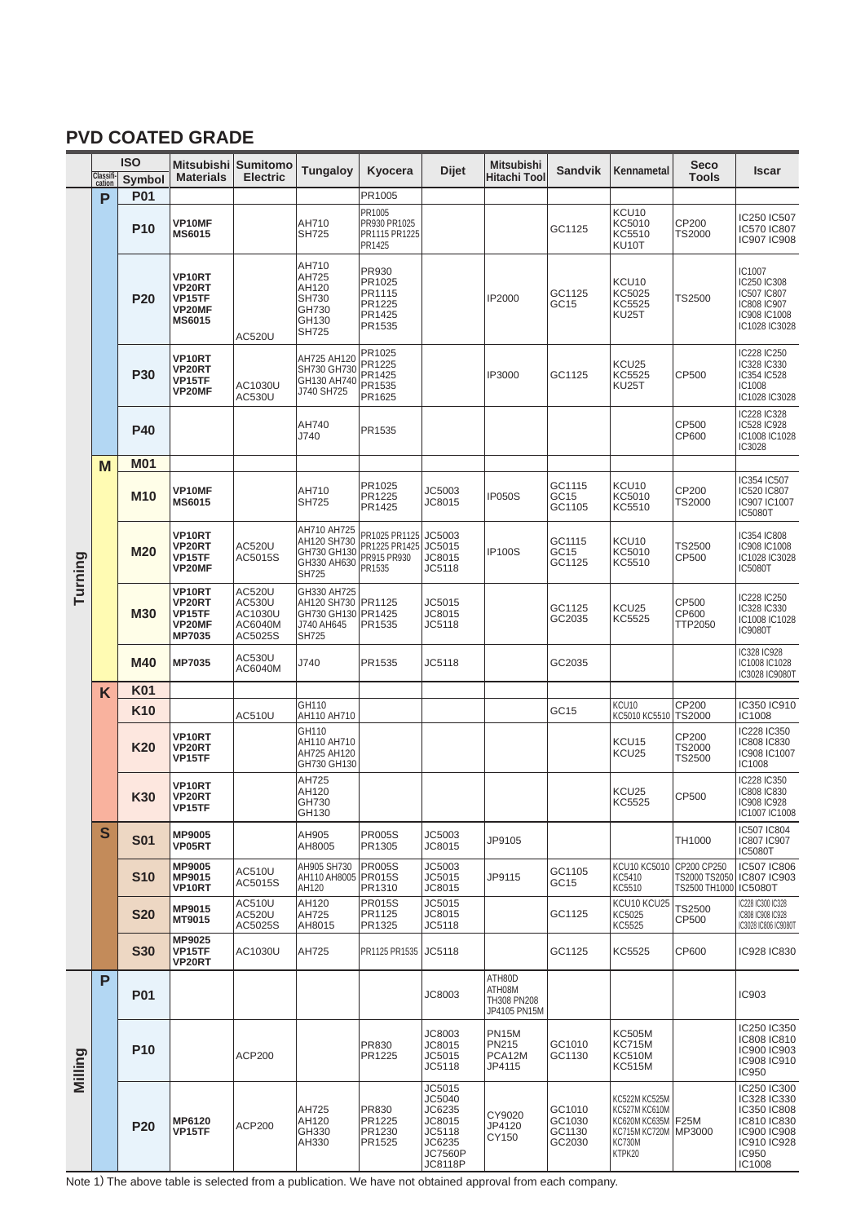## **PVD COATED GRADE**

|         | <b>ISO</b>          |                          |                                                                                   | Mitsubishi Sumitomo                               | Tungaloy                                                                                | Kyocera                                                           | <b>Dijet</b>                                                                   | <b>Mitsubishi</b>                               | <b>Sandvik</b>                       | Kennametal                                                                                                  | <b>Seco</b>                      | Iscar                                                                                                     |
|---------|---------------------|--------------------------|-----------------------------------------------------------------------------------|---------------------------------------------------|-----------------------------------------------------------------------------------------|-------------------------------------------------------------------|--------------------------------------------------------------------------------|-------------------------------------------------|--------------------------------------|-------------------------------------------------------------------------------------------------------------|----------------------------------|-----------------------------------------------------------------------------------------------------------|
|         | Classifi-<br>cation | <b>Symbol</b>            | <b>Materials</b>                                                                  | <b>Electric</b>                                   |                                                                                         |                                                                   |                                                                                | <b>Hitachi Tool</b>                             |                                      |                                                                                                             | <b>Tools</b>                     |                                                                                                           |
|         | P                   | <b>P01</b><br><b>P10</b> | <b>VP10MF</b><br><b>MS6015</b>                                                    |                                                   | AH710<br><b>SH725</b>                                                                   | PR1005<br>PR1005<br>PR930 PR1025<br>PR1115 PR1225                 |                                                                                |                                                 | GC1125                               | KCU <sub>10</sub><br>KC5010<br>KC5510                                                                       | CP200<br><b>TS2000</b>           | IC250 IC507<br>IC570 IC807                                                                                |
|         |                     | <b>P20</b>               | <b>VP10RT</b><br>VP20RT<br><b>VP15TF</b><br><b>VP20MF</b><br><b>MS6015</b>        | <b>AC520U</b>                                     | AH710<br>AH725<br>AH120<br><b>SH730</b><br>GH730<br>GH130<br><b>SH725</b>               | PR1425<br>PR930<br>PR1025<br>PR1115<br>PR1225<br>PR1425<br>PR1535 |                                                                                | IP2000                                          | GC1125<br>GC15                       | KU10T<br>KCU <sub>10</sub><br>KC5025<br>KC5525<br><b>KU25T</b>                                              | TS2500                           | IC907 IC908<br>IC1007<br>IC250 IC308<br>IC507 IC807<br>IC808 IC907<br>IC908 IC1008<br>IC1028 IC3028       |
|         |                     | <b>P30</b>               | VP10RT<br><b>VP20RT</b><br>VP15TF<br><b>VP20MF</b>                                | AC1030U<br>AC530U                                 | AH725 AH120<br>SH730 GH730<br>GH130 AH740<br>J740 SH725                                 | PR1025<br>PR1225<br>PR1425<br>PR1535<br>PR1625                    |                                                                                | IP3000                                          | GC1125                               | KCU25<br>KC5525<br><b>KU25T</b>                                                                             | CP500                            | IC228 IC250<br>IC328 IC330<br>IC354 IC528<br>IC1008<br>IC1028 IC3028                                      |
|         |                     | <b>P40</b>               |                                                                                   |                                                   | AH740<br>J740                                                                           | PR1535                                                            |                                                                                |                                                 |                                      |                                                                                                             | CP500<br>CP600                   | IC228 IC328<br>IC528 IC928<br>IC1008 IC1028<br>IC3028                                                     |
|         | M                   | <b>M01</b>               |                                                                                   |                                                   |                                                                                         |                                                                   |                                                                                |                                                 |                                      |                                                                                                             |                                  |                                                                                                           |
|         |                     | <b>M10</b>               | <b>VP10MF</b><br><b>MS6015</b>                                                    |                                                   | AH710<br><b>SH725</b>                                                                   | PR1025<br>PR1225<br>PR1425                                        | JC5003<br>JC8015                                                               | <b>IP050S</b>                                   | GC1115<br>GC15<br>GC1105             | KCU <sub>10</sub><br>KC5010<br>KC5510                                                                       | CP200<br><b>TS2000</b>           | IC354 IC507<br>IC520 IC807<br>IC907 IC1007<br><b>IC5080T</b>                                              |
| Turning |                     | <b>M20</b>               | VP10RT<br>VP20RT<br>VP15TF<br><b>VP20MF</b>                                       | AC520U<br>AC5015S                                 | AH710 AH725<br>AH120 SH730<br>GH730 GH130<br>GH330 AH630<br><b>SH725</b>                | PR1025 PR1125<br>PR1225 PR1425<br>PR915 PR930<br>PR1535           | JC5003<br>JC5015<br>JC8015<br>JC5118                                           | <b>IP100S</b>                                   | GC1115<br>GC15<br>GC1125             | KCU <sub>10</sub><br>KC5010<br>KC5510                                                                       | TS2500<br>CP500                  | IC354 IC808<br>IC908 IC1008<br>IC1028 IC3028<br><b>IC5080T</b>                                            |
|         |                     | <b>M30</b>               | <b>VP10RT</b><br><b>VP20RT</b><br><b>VP15TF</b><br><b>VP20MF</b><br><b>MP7035</b> | AC520U<br>AC530U<br>AC1030U<br>AC6040M<br>AC5025S | GH330 AH725<br>AH120 SH730   PR1125<br>GH730 GH130 PR1425<br>J740 AH645<br><b>SH725</b> | PR1535                                                            | JC5015<br>JC8015<br>JC5118                                                     |                                                 | GC1125<br>GC2035                     | KCU25<br>KC5525                                                                                             | CP500<br>CP600<br>TTP2050        | IC228 IC250<br>IC328 IC330<br>IC1008 IC1028<br><b>IC9080T</b>                                             |
|         |                     | M40                      | MP7035                                                                            | AC530U<br>AC6040M                                 | J740                                                                                    | PR1535                                                            | JC5118                                                                         |                                                 | GC2035                               |                                                                                                             |                                  | IC328 IC928<br>IC1008 IC1028<br>IC3028 IC9080T                                                            |
|         | K                   | <b>K01</b>               |                                                                                   |                                                   | GH110                                                                                   |                                                                   |                                                                                |                                                 |                                      | KCU <sub>10</sub>                                                                                           | CP200                            | IC350 IC910                                                                                               |
|         |                     | <b>K10</b>               |                                                                                   | AC510U                                            | AH110 AH710                                                                             |                                                                   |                                                                                |                                                 | GC <sub>15</sub>                     | KC5010 KC5510   TS2000                                                                                      |                                  | IC1008                                                                                                    |
|         |                     | K20                      | <b>VP10RT</b><br><b>VP20RT</b><br><b>VP15TF</b>                                   |                                                   | GH110<br>AH110 AH710<br>AH725 AH120<br>GH730 GH130                                      |                                                                   |                                                                                |                                                 |                                      | KCU <sub>15</sub><br>KCU25                                                                                  | CP200<br><b>TS2000</b><br>TS2500 | IC228 IC350<br>IC808 IC830<br>IC908 IC1007<br>IC1008                                                      |
|         |                     | <b>K30</b>               | <b>VP10RT</b><br><b>VP20RT</b><br><b>VP15IF</b>                                   |                                                   | AH725<br>AH120<br>GH730<br>GH130                                                        |                                                                   |                                                                                |                                                 |                                      | KCU <sub>25</sub><br>KC5525                                                                                 | CP500                            | IC228 IC350<br>IC808 IC830<br>IC908 IC928<br>IC1007 IC1008                                                |
|         | S                   | <b>S01</b>               | MP9005<br>VP05RT                                                                  |                                                   | AH905<br>AH8005                                                                         | <b>PR005S</b><br>PR1305                                           | JC5003<br>JC8015                                                               | JP9105                                          |                                      |                                                                                                             | TH1000                           | IC507 IC804<br>IC807 IC907<br><b>IC5080T</b>                                                              |
|         |                     | <b>S10</b>               | <b>MP9005</b><br>MP9015<br>VP10RT                                                 | AC510U<br>AC5015S                                 | AH905 SH730<br>AH110 AH8005 PR015S<br>AH120                                             | <b>PR005S</b><br>PR1310                                           | JC5003<br>JC5015<br>JC8015                                                     | JP9115                                          | GC1105<br>GC15                       | KCU10 KC5010 CP200 CP250<br>KC5410<br>KC5510                                                                | TS2000 TS2050<br>TS2500 TH1000   | IC507 IC806<br>IC807 IC903<br><b>IC5080T</b>                                                              |
|         |                     | <b>S20</b>               | MP9015<br>MT9015                                                                  | AC510U<br>AC520U<br>AC5025S                       | AH120<br>AH725<br>AH8015                                                                | <b>PR015S</b><br>PR1125<br>PR1325                                 | JC5015<br>JC8015<br>JC5118                                                     |                                                 | GC1125                               | KCU10 KCU25<br>KC5025<br>KC5525                                                                             | TS2500<br>CP500                  | IC228 IC300 IC328<br>IC808 IC908 IC928<br>IC3028 IC806 IC9080T                                            |
|         |                     | <b>S30</b>               | MP9025<br>VP15TF<br><b>VP20RT</b>                                                 | AC1030U                                           | AH725                                                                                   | PR1125 PR1535                                                     | JC5118                                                                         |                                                 | GC1125                               | KC5525                                                                                                      | CP600                            | IC928 IC830                                                                                               |
|         | P                   | <b>P01</b>               |                                                                                   |                                                   |                                                                                         |                                                                   | JC8003                                                                         | ATH80D<br>ATH08M<br>TH308 PN208<br>JP4105 PN15M |                                      |                                                                                                             |                                  | IC903                                                                                                     |
| Milling |                     | <b>P10</b>               |                                                                                   | <b>ACP200</b>                                     |                                                                                         | PR830<br>PR1225                                                   | JC8003<br>JC8015<br>JC5015<br>JC5118                                           | <b>PN15M</b><br>PN215<br>PCA12M<br>JP4115       | GC1010<br>GC1130                     | <b>KC505M</b><br><b>KC715M</b><br><b>KC510M</b><br><b>KC515M</b>                                            |                                  | IC250 IC350<br>IC808 IC810<br>IC900 IC903<br>IC908 IC910<br><b>IC950</b>                                  |
|         |                     | <b>P20</b>               | MP6120<br>VP15TF                                                                  | <b>ACP200</b>                                     | AH725<br>AH120<br>GH330<br>AH330                                                        | PR830<br>PR1225<br>PR1230<br>PR1525                               | JC5015<br>JC5040<br>JC6235<br>JC8015<br>JC5118<br>JC6235<br>JC7560P<br>JC8118P | CY9020<br>JP4120<br>CY150                       | GC1010<br>GC1030<br>GC1130<br>GC2030 | KC522M KC525M<br>KC527M KC610M<br>KC620M KC635M   F25M<br>KC715M KC720M   MP3000<br><b>KC730M</b><br>KTPK20 |                                  | IC250 IC300<br>IC328 IC330<br>IC350 IC808<br>IC810 IC830<br>IC900 IC908<br>IC910 IC928<br>IC950<br>IC1008 |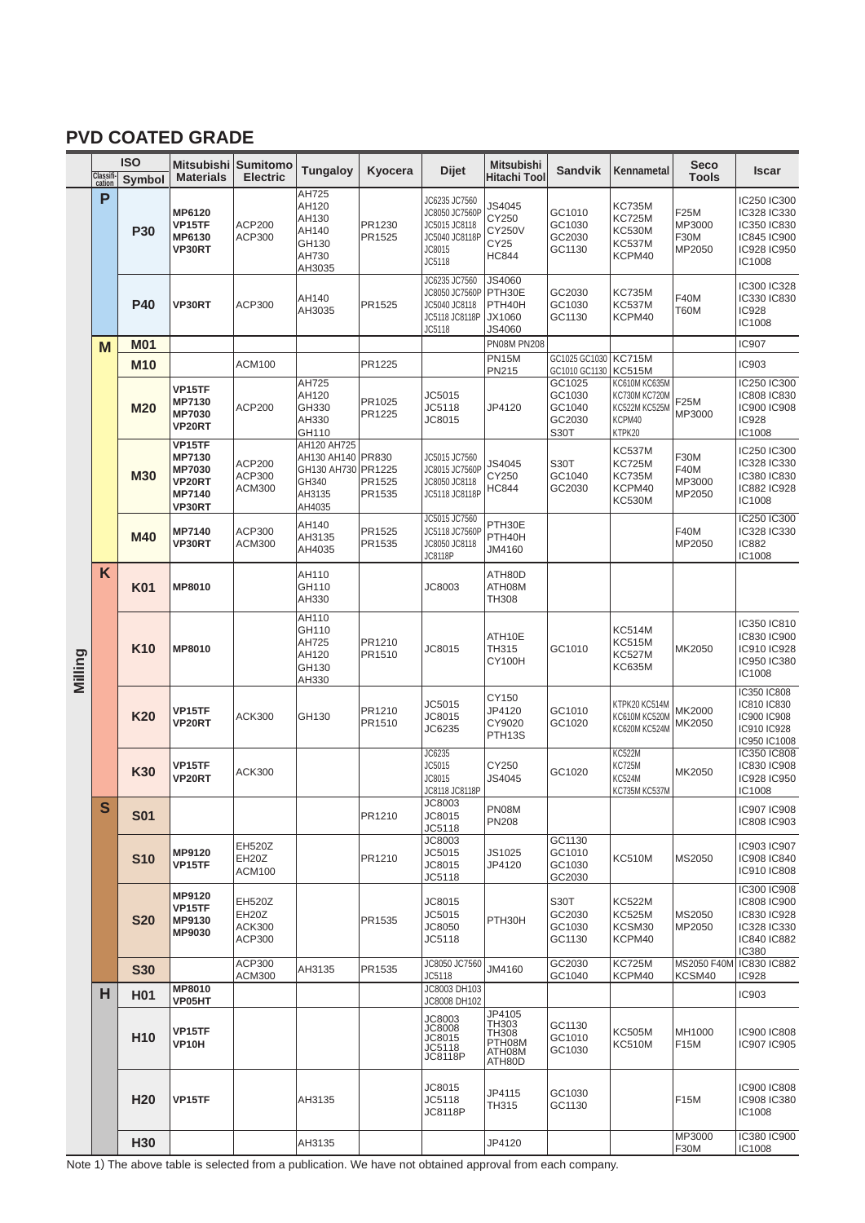## **PVD COATED GRADE**

|         |                     | <b>ISO</b>               |                                                                                      | Mitsubishi Sumitomo                                            | <b>Tungaloy</b>                                                                     | Kyocera                    | <b>Dijet</b>                                                                           | <b>Mitsubishi</b>                                        | <b>Sandvik</b>                                                                 | Kennametal                                                                                            | <b>Seco</b>                             | Iscar                                                                                   |
|---------|---------------------|--------------------------|--------------------------------------------------------------------------------------|----------------------------------------------------------------|-------------------------------------------------------------------------------------|----------------------------|----------------------------------------------------------------------------------------|----------------------------------------------------------|--------------------------------------------------------------------------------|-------------------------------------------------------------------------------------------------------|-----------------------------------------|-----------------------------------------------------------------------------------------|
|         | Classifi-<br>cation | Symbol                   | <b>Materials</b>                                                                     | <b>Electric</b>                                                |                                                                                     |                            |                                                                                        | Hitachi Tool                                             |                                                                                |                                                                                                       | <b>Tools</b>                            |                                                                                         |
|         | P                   | <b>P30</b>               | MP6120<br>VP15TF<br>MP6130<br><b>VP30RT</b>                                          | <b>ACP200</b><br>ACP300                                        | AH725<br>AH120<br>AH130<br>AH140<br>GH130<br>AH730<br>AH3035                        | PR1230<br>PR1525           | JC6235 JC7560<br>JC8050 JC7560P<br>JC5015 JC8118<br>JC5040 JC8118P<br>JC8015<br>JC5118 | JS4045<br>CY250<br><b>CY250V</b><br>CY25<br><b>HC844</b> | GC1010<br>GC1030<br>GC2030<br>GC1130                                           | <b>KC735M</b><br>KC725M<br><b>KC530M</b><br><b>KC537M</b><br>KCPM40                                   | F25M<br>MP3000<br>F30M<br>MP2050        | IC250 IC300<br>IC328 IC330<br>IC350 IC830<br>IC845 IC900<br>IC928 IC950<br>IC1008       |
|         |                     | <b>P40</b>               | <b>VP30RT</b>                                                                        | ACP300                                                         | AH140<br>AH3035                                                                     | PR1525                     | JC6235 JC7560<br>JC8050 JC7560P<br>JC5040 JC8118<br>JC5118 JC8118P<br>JC5118           | JS4060<br>PTH30E<br>PTH40H<br>JX1060<br>JS4060           | GC2030<br>GC1030<br>GC1130                                                     | KC735M<br><b>KC537M</b><br>KCPM40                                                                     | <b>F40M</b><br><b>T60M</b>              | IC300 IC328<br>IC330 IC830<br><b>IC928</b><br>IC1008                                    |
|         | M                   | <b>M01</b>               |                                                                                      |                                                                |                                                                                     |                            |                                                                                        | <b>PN08M PN208</b>                                       |                                                                                |                                                                                                       |                                         | <b>IC907</b>                                                                            |
|         |                     | <b>M10</b><br><b>M20</b> | VP15TF<br>MP7130<br><b>MP7030</b><br><b>VP20RT</b>                                   | <b>ACM100</b><br><b>ACP200</b>                                 | AH725<br>AH120<br>GH330<br>AH330<br>GH110                                           | PR1225<br>PR1025<br>PR1225 | JC5015<br>JC5118<br>JC8015                                                             | <b>PN15M</b><br>PN215<br>JP4120                          | GC1025 GC1030<br>GC1010 GC1130<br>GC1025<br>GC1030<br>GC1040<br>GC2030<br>S30T | <b>KC715M</b><br><b>KC515M</b><br>KC610M KC635M<br>KC730M KC720M<br>KC522M KC525M<br>KCPM40<br>KTPK20 | F25M<br>MP3000                          | IC903<br>IC250 IC300<br>IC808 IC830<br>IC900 IC908<br><b>IC928</b><br>IC1008            |
|         |                     | <b>M30</b>               | <b>VP15TF</b><br>MP7130<br><b>MP7030</b><br><b>VP20RT</b><br>MP7140<br><b>VP30RT</b> | <b>ACP200</b><br>ACP300<br><b>ACM300</b>                       | AH120 AH725<br>AH130 AH140 PR830<br>GH130 AH730 PR1225<br>GH340<br>AH3135<br>AH4035 | PR1525<br>PR1535           | JC5015 JC7560<br>JC8015 JC7560P<br>JC8050 JC8118<br>JC5118 JC8118P                     | JS4045<br>CY250<br><b>HC844</b>                          | S30T<br>GC1040<br>GC2030                                                       | <b>KC537M</b><br><b>KC725M</b><br><b>KC735M</b><br>KCPM40<br><b>KC530M</b>                            | F30M<br><b>F40M</b><br>MP3000<br>MP2050 | IC250 IC300<br>IC328 IC330<br>IC380 IC830<br>IC882 IC928<br>IC1008                      |
| Milling |                     | <b>M40</b>               | MP7140<br>VP30RT                                                                     | ACP300<br><b>ACM300</b>                                        | AH140<br>AH3135<br>AH4035                                                           | PR1525<br>PR1535           | JC5015 JC7560<br>JC5118 JC7560P<br>JC8050 JC8118<br><b>JC8118P</b>                     | PTH30E<br>PTH40H<br>JM4160                               |                                                                                |                                                                                                       | <b>F40M</b><br>MP2050                   | IC250 IC300<br>IC328 IC330<br>IC882<br>IC1008                                           |
|         | K                   | K01                      | MP8010                                                                               |                                                                | AH110<br>GH110<br>AH330                                                             |                            | JC8003                                                                                 | ATH80D<br>ATH08M<br>TH308                                |                                                                                |                                                                                                       |                                         |                                                                                         |
|         |                     | K <sub>10</sub>          | <b>MP8010</b>                                                                        |                                                                | AH110<br>GH110<br>AH725<br>AH120<br>GH130<br>AH330                                  | PR1210<br>PR1510           | JC8015                                                                                 | ATH10E<br>TH315<br><b>CY100H</b>                         | GC1010                                                                         | <b>KC514M</b><br><b>KC515M</b><br>KC527M<br>KC635M                                                    | MK2050                                  | IC350 IC810<br>IC830 IC900<br>IC910 IC928<br>IC950 IC380<br>IC1008                      |
|         |                     | <b>K20</b>               | VP15TF<br><b>VP20RT</b>                                                              | <b>ACK300</b>                                                  | GH130                                                                               | PR1210<br>PR1510           | JC5015<br>JC8015<br>JC6235                                                             | CY150<br>JP4120<br>CY9020<br>PTH13S                      | GC1010<br>GC1020                                                               | KTPK20 KC514M<br>KC610M KC520M<br>KC620M KC524M                                                       | MK2000<br>MK2050                        | IC350 IC808<br>IC810 IC830<br>IC900 IC908<br>IC910 IC928<br>IC950 IC1008                |
|         |                     | K30                      | VP15TF<br><b>VP20RT</b>                                                              | <b>ACK300</b>                                                  |                                                                                     |                            | JC6235<br>JC5015<br>JC8015<br>JC8118 JC8118P                                           | CY250<br>JS4045                                          | GC1020                                                                         | <b>KC522M</b><br><b>KC725M</b><br><b>KC524M</b><br><b>KC735M KC537M</b>                               | MK2050                                  | IC350 IC808<br>IC830 IC908<br>IC928 IC950<br>IC1008                                     |
|         | S                   | <b>S01</b>               |                                                                                      |                                                                |                                                                                     | PR1210                     | JC8003<br>JC8015<br>JC5118                                                             | <b>PN08M</b><br><b>PN208</b>                             |                                                                                |                                                                                                       |                                         | IC907 IC908<br>IC808 IC903                                                              |
|         |                     | <b>S10</b>               | MP9120<br>VP15TF                                                                     | <b>EH520Z</b><br>EH <sub>20</sub> Z<br><b>ACM100</b>           |                                                                                     | PR1210                     | JC8003<br>JC5015<br>JC8015<br>JC5118                                                   | JS1025<br>JP4120                                         | GC1130<br>GC1010<br>GC1030<br>GC2030                                           | <b>KC510M</b>                                                                                         | MS2050                                  | IC903 IC907<br>IC908 IC840<br>IC910 IC808                                               |
|         |                     | <b>S20</b>               | MP9120<br>VP15TF<br>MP9130<br>MP9030                                                 | <b>EH520Z</b><br>EH <sub>20</sub> Z<br><b>ACK300</b><br>ACP300 |                                                                                     | PR1535                     | JC8015<br>JC5015<br>JC8050<br>JC5118                                                   | PTH30H                                                   | S30T<br>GC2030<br>GC1030<br>GC1130                                             | <b>KC522M</b><br><b>KC525M</b><br>KCSM30<br>KCPM40                                                    | MS2050<br>MP2050                        | IC300 IC908<br>IC808 IC900<br>IC830 IC928<br>IC328 IC330<br>IC840 IC882<br><b>IC380</b> |
|         |                     | <b>S30</b>               |                                                                                      | ACP300<br><b>ACM300</b>                                        | AH3135                                                                              | PR1535                     | JC8050 JC7560<br>JC5118                                                                | JM4160                                                   | GC2030<br>GC1040                                                               | <b>KC725M</b><br>KCPM40                                                                               | MS2050 F40M<br>KCSM40                   | IC830 IC882<br><b>IC928</b>                                                             |
|         | н                   | H01                      | <b>MP8010</b><br>VP05HT                                                              |                                                                |                                                                                     |                            | JC8003 DH103<br>JC8008 DH102                                                           |                                                          |                                                                                |                                                                                                       |                                         | IC903                                                                                   |
|         |                     | H <sub>10</sub>          | VP15TF<br>VP10H                                                                      |                                                                |                                                                                     |                            | JC8003<br><b>JC8008</b><br>JC8015<br>JC5118<br><b>JC8118P</b>                          | JP4105<br>TH303<br>TH308<br>PTH08M<br>ATH08M<br>ATH80D   | GC1130<br>GC1010<br>GC1030                                                     | <b>KC505M</b><br><b>KC510M</b>                                                                        | MH1000<br>F15M                          | IC900 IC808<br>IC907 IC905                                                              |
|         |                     | H <sub>20</sub>          | VP15TF                                                                               |                                                                | AH3135                                                                              |                            | JC8015<br>JC5118<br>JC8118P                                                            | JP4115<br>TH315                                          | GC1030<br>GC1130                                                               |                                                                                                       | F15M                                    | IC900 IC808<br>IC908 IC380<br>IC1008                                                    |
|         |                     | H30                      |                                                                                      |                                                                | AH3135                                                                              |                            |                                                                                        | JP4120                                                   |                                                                                |                                                                                                       | MP3000<br>F30M                          | IC380 IC900<br>IC1008                                                                   |